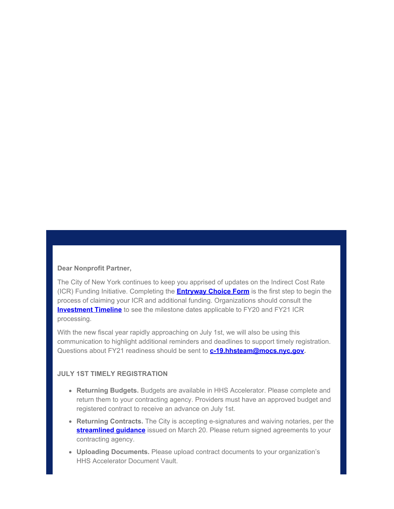## **Dear Nonprofit Partner,**

The City of New York continues to keep you apprised of updates on the Indirect Cost Rate (ICR) Funding Initiative. Completing the **[Entryway Choice Form](https://gcc01.safelinks.protection.outlook.com/?url=https%3A%2F%2Fwww1.nyc.gov%2Fsite%2Fnonprofits%2Ffunded-providers%2Findirect-entryway-choice-form.page%3Futm_medium%3Demail%26utm_source%3Dgovdelivery&data=02%7C01%7Coluwa.small%40mocs.nyc.gov%7Ccf9c0c3596084a56f4dd08d7f8ed80bd%7C32f56fc75f814e22a95b15da66513bef%7C0%7C0%7C637251572108058127&sdata=BrAAJGLzUa58IQLsB1WnAMHIQagrSURzPIN5iPN4%2B54%3D&reserved=0)** is the first step to begin the process of claiming your ICR and additional funding. Organizations should consult the **[Investment Timeline](https://gcc01.safelinks.protection.outlook.com/?url=https%3A%2F%2Fwww1.nyc.gov%2Fassets%2Fnonprofits%2Fdownloads%2Fpdf%2FInvestment%2520Timeline.pdf%3Futm_medium%3Demail%26utm_source%3Dgovdelivery&data=02%7C01%7Coluwa.small%40mocs.nyc.gov%7Ccf9c0c3596084a56f4dd08d7f8ed80bd%7C32f56fc75f814e22a95b15da66513bef%7C0%7C0%7C637251572108068123&sdata=T6CO3LviEFGP03Tbl6j45tYRgNWb5RedXGH0ZNhVeNU%3D&reserved=0)** to see the milestone dates applicable to FY20 and FY21 ICR processing.

With the new fiscal year rapidly approaching on July 1st, we will also be using this communication to highlight additional reminders and deadlines to support timely registration. Questions about FY21 readiness should be sent to **[c-19.hhsteam@mocs.nyc.gov](mailto:c-19.hhsteam@mocs.nyc.gov).**

## **JULY 1ST TIMELY REGISTRATION**

- **Returning Budgets.** Budgets are available in HHS Accelerator. Please complete and return them to your contracting agency. Providers must have an approved budget and registered contract to receive an advance on July 1st.
- **Returning Contracts.** The City is accepting e-signatures and waiving notaries, per the **streamlined quidance** issued on March 20. Please return signed agreements to your contracting agency.
- **Uploading Documents.** Please upload contract documents to your organization's HHS Accelerator Document Vault.